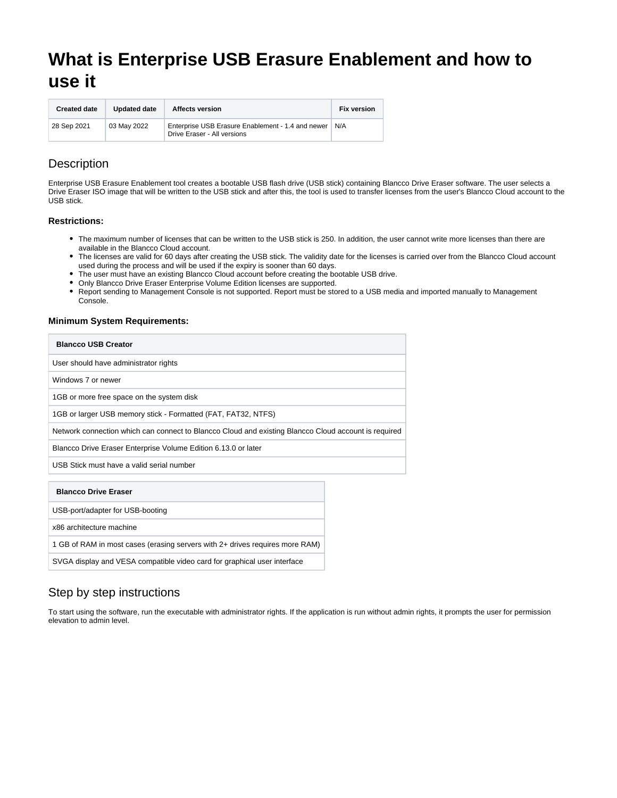# **What is Enterprise USB Erasure Enablement and how to use it**

| <b>Created date</b> | <b>Updated date</b> | <b>Affects version</b>                                                                 | <b>Fix version</b> |
|---------------------|---------------------|----------------------------------------------------------------------------------------|--------------------|
| 28 Sep 2021         | 03 May 2022         | Enterprise USB Erasure Enablement - 1.4 and newer   N/A<br>Drive Eraser - All versions |                    |

### **Description**

Enterprise USB Erasure Enablement tool creates a bootable USB flash drive (USB stick) containing Blancco Drive Eraser software. The user selects a Drive Eraser ISO image that will be written to the USB stick and after this, the tool is used to transfer licenses from the user's Blancco Cloud account to the USB stick.

#### **Restrictions:**

- The maximum number of licenses that can be written to the USB stick is 250. In addition, the user cannot write more licenses than there are available in the Blancco Cloud account.
- The licenses are valid for 60 days after creating the USB stick. The validity date for the licenses is carried over from the Blancco Cloud account used during the process and will be used if the expiry is sooner than 60 days.
- The user must have an existing Blancco Cloud account before creating the bootable USB drive.
- Only Blancco Drive Eraser Enterprise Volume Edition licenses are supported.
- $\bullet$ Report sending to Management Console is not supported. Report must be stored to a USB media and imported manually to Management Console.

#### **Minimum System Requirements:**

| <b>Blancco USB Creator</b>                                                                           |  |
|------------------------------------------------------------------------------------------------------|--|
| User should have administrator rights                                                                |  |
| Windows 7 or newer                                                                                   |  |
| 1GB or more free space on the system disk                                                            |  |
| 1GB or larger USB memory stick - Formatted (FAT, FAT32, NTFS)                                        |  |
| Network connection which can connect to Blancco Cloud and existing Blancco Cloud account is required |  |
| Blancco Drive Eraser Enterprise Volume Edition 6.13.0 or later                                       |  |
| USB Stick must have a valid serial number                                                            |  |
| <b>Blancco Drive Eraser</b>                                                                          |  |
| USB-port/adapter for USB-booting                                                                     |  |
| x86 architecture machine                                                                             |  |

1 GB of RAM in most cases (erasing servers with 2+ drives requires more RAM)

SVGA display and VESA compatible video card for graphical user interface

## Step by step instructions

To start using the software, run the executable with administrator rights. If the application is run without admin rights, it prompts the user for permission elevation to admin level.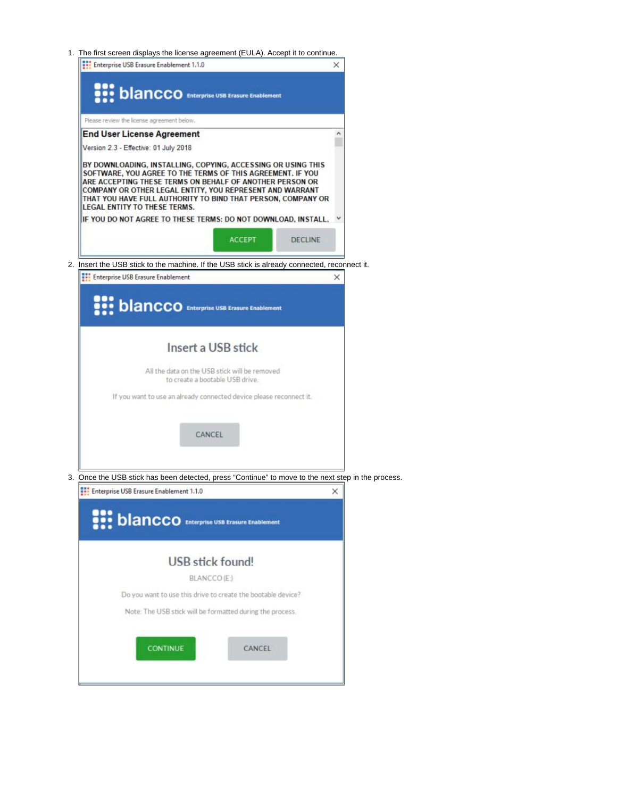1. The first screen displays the license agreement (EULA). Accept it to continue.



| <b>DIANCCO</b> Enterprise USB Erasure Enablement                                                   |   |  |
|----------------------------------------------------------------------------------------------------|---|--|
| Insert a USB stick                                                                                 |   |  |
| All the data on the USB stick will be removed<br>to create a bootable USB drive.                   |   |  |
| If you want to use an already connected device please reconnect it.                                |   |  |
| CANCEL                                                                                             |   |  |
| 3. Once the USB stick has been detected, press "Continue" to move to the next step in the process. |   |  |
| <b>Enterprise USB Erasure Enablement 1.1.0</b>                                                     | × |  |

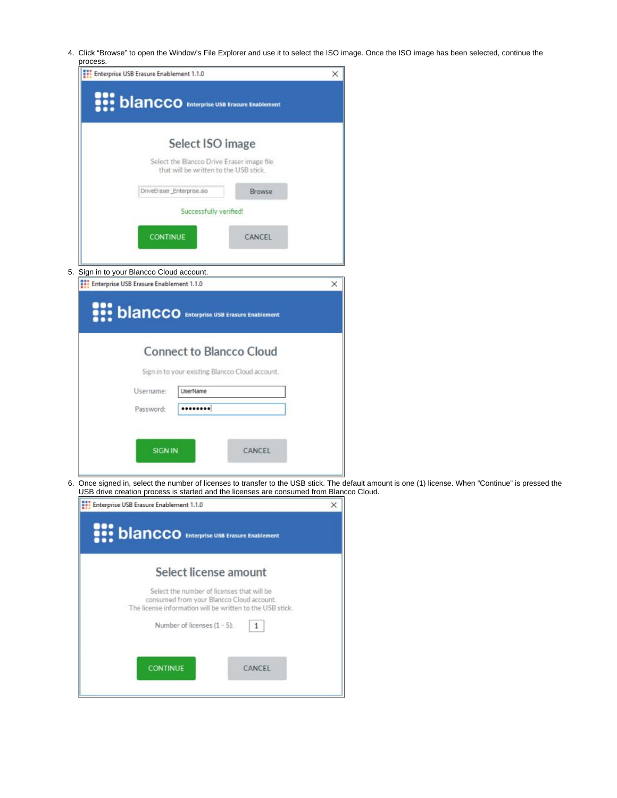4. Click "Browse" to open the Window's File Explorer and use it to select the ISO image. Once the ISO image has been selected, continue the process.

| Enterprise USB Erasure Enablement 1.1.0                                                                  | × |
|----------------------------------------------------------------------------------------------------------|---|
| <b>DIANCCO</b> Enterprise USB Erasure Enablement                                                         |   |
| Select ISO image<br>Select the Blancco Drive Eraser image file<br>that will be written to the USB stick. |   |
| DriveEraser_Enterprise.iso<br><b>Browse</b>                                                              |   |
| Successfully verified!                                                                                   |   |
| <b>CONTINUE</b>                                                                                          |   |
| CANCEL                                                                                                   |   |
|                                                                                                          |   |
| 5. Sign in to your Blancco Cloud account.<br>Enterprise USB Erasure Enablement 1.1.0                     | × |
|                                                                                                          |   |
| <b>DIANCCO</b> Enterprise USB Erasure Enablement                                                         |   |
| <b>Connect to Blancco Cloud</b>                                                                          |   |
| Sign in to your existing Blancco Cloud account.                                                          |   |
| Username:<br><b>LiserName</b>                                                                            |   |
| <br>Password:                                                                                            |   |
|                                                                                                          |   |
|                                                                                                          |   |
| <b>SIGN IN</b><br>CANCEL                                                                                 |   |

6. Once signed in, select the number of licenses to transfer to the USB stick. The default amount is one (1) license. When "Continue" is pressed the USB drive creation process is started and the licenses are consumed from Blancco Cloud.

| Enterprise USB Erasure Enablement 1.1.0                                                                                                              | $\times$ |
|------------------------------------------------------------------------------------------------------------------------------------------------------|----------|
| <b>DIANCCO</b> Enterprise USB Erasure Enablement                                                                                                     |          |
| Select license amount                                                                                                                                |          |
| Select the number of licenses that will be<br>consumed from your Blancco Cloud account.<br>The license information will be written to the USB stick. |          |
| Number of licenses (1 - 5):                                                                                                                          |          |
| <b>CONTINUE</b><br>CANCEL                                                                                                                            |          |